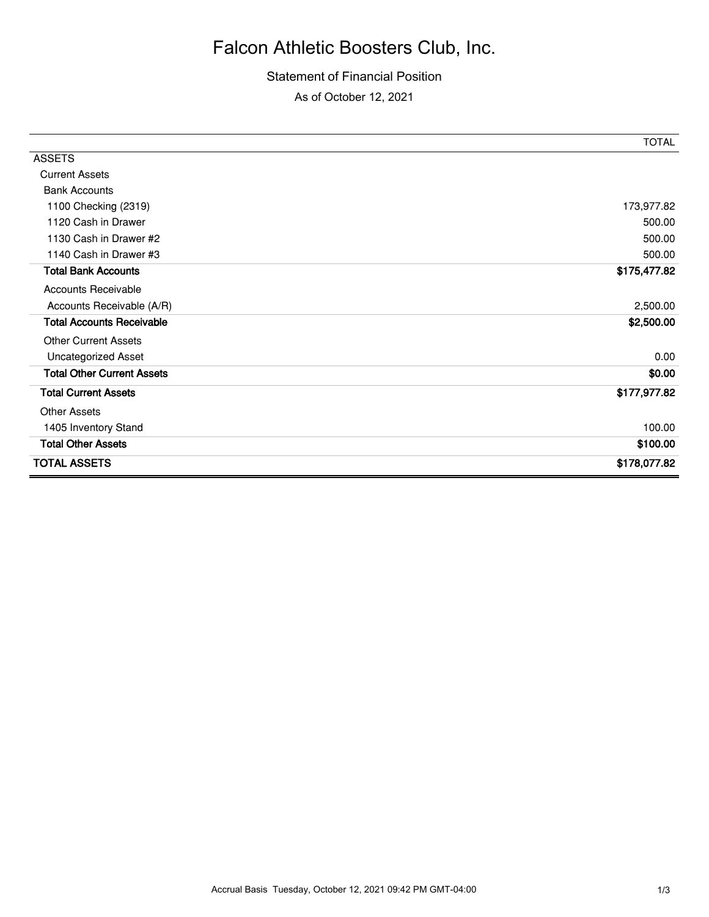## Falcon Athletic Boosters Club, Inc.

## Statement of Financial Position As of October 12, 2021

|                                   | <b>TOTAL</b> |
|-----------------------------------|--------------|
| <b>ASSETS</b>                     |              |
| <b>Current Assets</b>             |              |
| <b>Bank Accounts</b>              |              |
| 1100 Checking (2319)              | 173,977.82   |
| 1120 Cash in Drawer               | 500.00       |
| 1130 Cash in Drawer #2            | 500.00       |
| 1140 Cash in Drawer #3            | 500.00       |
| <b>Total Bank Accounts</b>        | \$175,477.82 |
| <b>Accounts Receivable</b>        |              |
| Accounts Receivable (A/R)         | 2,500.00     |
| <b>Total Accounts Receivable</b>  | \$2,500.00   |
| <b>Other Current Assets</b>       |              |
| Uncategorized Asset               | 0.00         |
| <b>Total Other Current Assets</b> | \$0.00       |
| <b>Total Current Assets</b>       | \$177,977.82 |
| <b>Other Assets</b>               |              |
| 1405 Inventory Stand              | 100.00       |
| <b>Total Other Assets</b>         | \$100.00     |
| <b>TOTAL ASSETS</b>               | \$178,077.82 |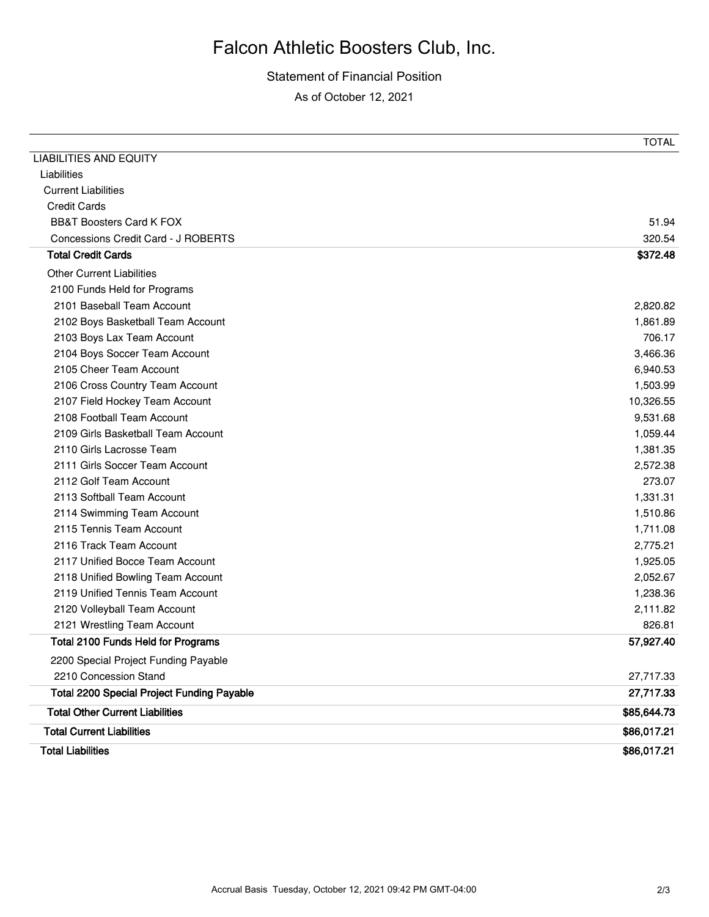## Falcon Athletic Boosters Club, Inc.

Statement of Financial Position As of October 12, 2021

|                                                   | TOTAL       |
|---------------------------------------------------|-------------|
| <b>LIABILITIES AND EQUITY</b>                     |             |
| Liabilities                                       |             |
| <b>Current Liabilities</b>                        |             |
| <b>Credit Cards</b>                               |             |
| <b>BB&amp;T Boosters Card K FOX</b>               | 51.94       |
| Concessions Credit Card - J ROBERTS               | 320.54      |
| <b>Total Credit Cards</b>                         | \$372.48    |
| <b>Other Current Liabilities</b>                  |             |
| 2100 Funds Held for Programs                      |             |
| 2101 Baseball Team Account                        | 2,820.82    |
| 2102 Boys Basketball Team Account                 | 1,861.89    |
| 2103 Boys Lax Team Account                        | 706.17      |
| 2104 Boys Soccer Team Account                     | 3,466.36    |
| 2105 Cheer Team Account                           | 6,940.53    |
| 2106 Cross Country Team Account                   | 1,503.99    |
| 2107 Field Hockey Team Account                    | 10,326.55   |
| 2108 Football Team Account                        | 9,531.68    |
| 2109 Girls Basketball Team Account                | 1,059.44    |
| 2110 Girls Lacrosse Team                          | 1,381.35    |
| 2111 Girls Soccer Team Account                    | 2,572.38    |
| 2112 Golf Team Account                            | 273.07      |
| 2113 Softball Team Account                        | 1,331.31    |
| 2114 Swimming Team Account                        | 1,510.86    |
| 2115 Tennis Team Account                          | 1,711.08    |
| 2116 Track Team Account                           | 2,775.21    |
| 2117 Unified Bocce Team Account                   | 1,925.05    |
| 2118 Unified Bowling Team Account                 | 2,052.67    |
| 2119 Unified Tennis Team Account                  | 1,238.36    |
| 2120 Volleyball Team Account                      | 2,111.82    |
| 2121 Wrestling Team Account                       | 826.81      |
| <b>Total 2100 Funds Held for Programs</b>         | 57,927.40   |
| 2200 Special Project Funding Payable              |             |
| 2210 Concession Stand                             | 27,717.33   |
| <b>Total 2200 Special Project Funding Payable</b> | 27,717.33   |
| <b>Total Other Current Liabilities</b>            | \$85,644.73 |
| <b>Total Current Liabilities</b>                  | \$86,017.21 |
| <b>Total Liabilities</b>                          | \$86,017.21 |